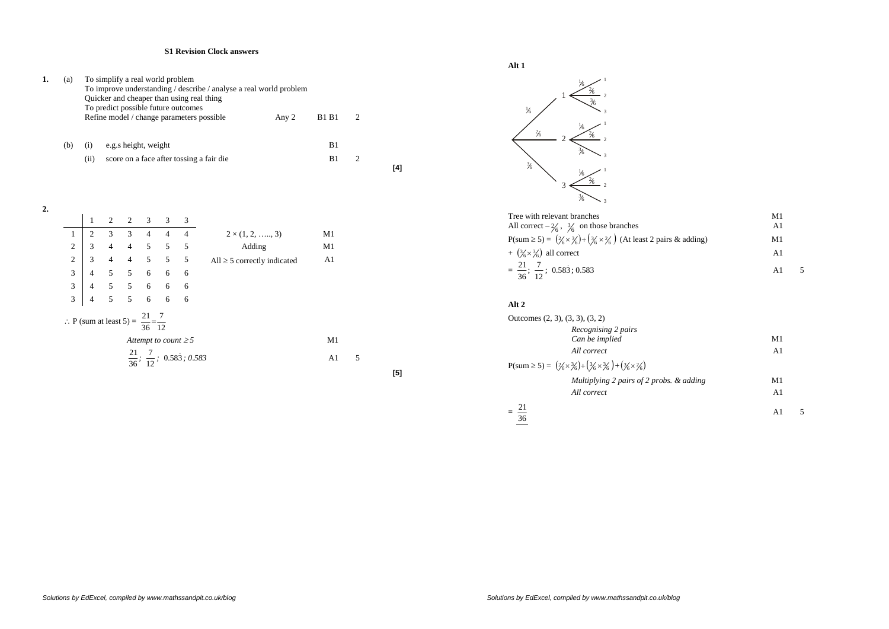## **S1 Revision Clock answers**

| (a) |     |            | To simplify a real world problem<br>To improve understanding / describe / analyse a real world problem<br>Quicker and cheaper than using real thing<br>To predict possible future outcomes<br>Refine model / change parameters possible | <b>B1 B1</b> |          |  |
|-----|-----|------------|-----------------------------------------------------------------------------------------------------------------------------------------------------------------------------------------------------------------------------------------|--------------|----------|--|
|     | (b) | (1)<br>(i) | e.g.s height, weight<br>score on a face after tossing a fair die                                                                                                                                                                        |              | B1<br>B1 |  |

2.  
\n1 2 2 3 3 4 4 4 4  
\n2 
$$
\begin{pmatrix} 1 & 2 & 2 & 3 & 3 & 3 \\ 3 & 4 & 4 & 5 & 5 & 5 \\ 2 & 3 & 4 & 4 & 5 & 5 & 5 \\ 3 & 4 & 5 & 5 & 5 & 5 & 5 \\ 4 & 5 & 5 & 6 & 6 & 6 \\ 3 & 4 & 5 & 5 & 6 & 6 & 6 \\ 4 & 5 & 5 & 6 & 6 & 6 & 6 \\ 3 & 4 & 5 & 5 & 6 & 6 & 6 \\ 3 & 4 & 5 & 5 & 6 & 6 & 6 \\ 3 & 4 & 5 & 5 & 6 & 6 & 6 \\ 3 & 4 & 5 & 5 & 6 & 6 & 6 \\ 3 & 4 & 5 & 5 & 6 & 6 & 6 \\ 3 & 4 & 5 & 5 & 6 & 6 & 6 \\ 3 & 4 & 5 & 5 & 6 & 6 & 6 \\ 3 & 4 & 5 & 5 & 6 & 6 & 6 \\ 3 & 4 & 5 & 5 & 6 & 6 & 6 \\ 3 & 4 & 5 & 5 & 6 & 6 & 6 \\ 3 & 4 & 5 & 5 & 6 & 6 & 6 \\ 3 & 4 & 5 & 5 & 6 & 6 & 6 \\ 3 & 4 & 5 & 5 & 6 & 6 & 6 \\ 3 & 4 & 5 & 5 & 6 & 6 & 6 \\ 3 & 4 & 5 & 5 & 6 & 6 & 6 \\ 3 & 4 & 5 & 5 & 6 & 6 & 6 \\ 3 & 4 & 5 & 5 & 6 & 6 & 6 \\ 3 & 4 & 5 & 5 & 6 & 6 & 6 \\ 3 & 4 & 5 & 5 & 6 & 6 & 6 \\ 3 & 4 & 5 & 5 & 6 & 6 & 6 \\ 3 & 4 & 5 & 5 & 6 & 6 & 6 \\ 3 & 4 & 5 & 5 & 6 & 6 & 6 \\ 3 & 4 & 5 & 5 & 6 & 6 & 6 \\ 3 & 4 & 5 & 5 & 6 & 6 & 6 \\ 3 & 4 & 5 & 5 & 6 & 6 & 6 \\ 3 & 4 & 5 & 5 & 6 & 6 & 6 \\ 3 & 4 & 5 & 5 & 6 & 6 & 6 \\ 3 & 4 & 5 & 5 & 6 & 6 & 6 \\ 3 & 4
$$

**Alt 1**

**[4]** 

**[5]** 



| Tree with relevant branches                                                                                      | M1 |  |
|------------------------------------------------------------------------------------------------------------------|----|--|
| All correct $-\frac{2}{6}$ , $\frac{3}{6}$ on those branches                                                     | A1 |  |
| $P(sum \ge 5) = (\frac{2}{6} \times \frac{3}{6}) + (\frac{3}{6} \times \frac{2}{6})$ (At least 2 pairs & adding) | M1 |  |
| + $(\frac{3}{6} \times \frac{3}{6})$ all correct                                                                 | Αl |  |
| $=\frac{21}{36}; \frac{7}{12}; 0.58\overline{3}; 0.583$                                                          | A1 |  |

## **Alt 2**

| M1 |          |
|----|----------|
| A1 |          |
| A1 |          |
|    | M1<br>A1 |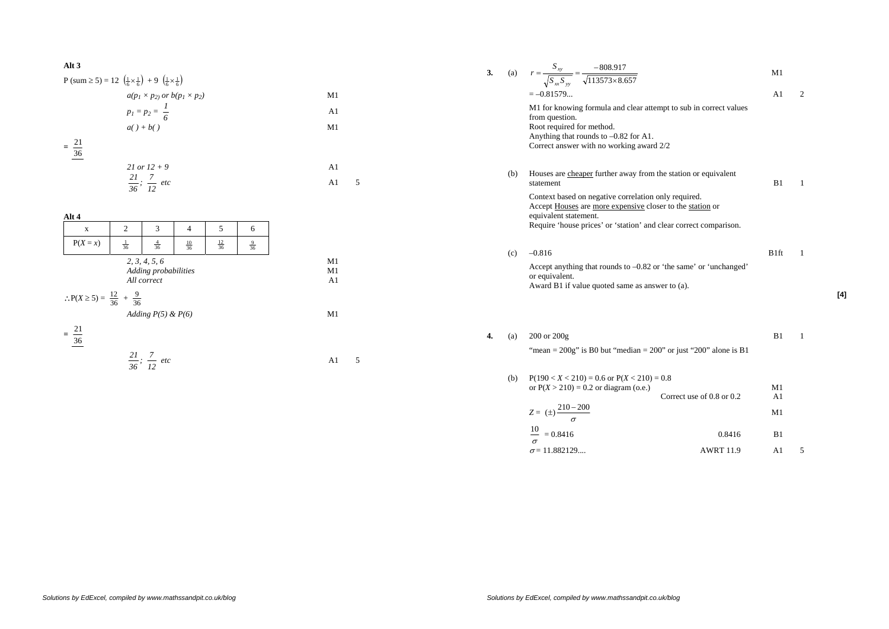## **Alt 3**

 $P \left( \text{sum} \ge 5 \right) = 12 \left( \frac{1}{5} \times \frac{1}{5} \right) + 9 \left( \frac{1}{5} \times \frac{1}{5} \right)$ 

$$
a(p_1 \times p_2) \text{ or } b(p_1 \times p_2)
$$
   
\n
$$
p_1 = p_2 = \frac{1}{6}
$$
   
\n
$$
a() + b()
$$
   
\n
$$
= \frac{21}{36}
$$
   
\n
$$
21 \text{ or } 12 + 9
$$
   
\n
$$
\frac{21}{36}; \frac{7}{12} \text{ etc}
$$
   
\n
$$
= 41
$$
   
\n
$$
A1 = 5
$$

| 3<br>5<br>$\overline{c}$<br>$\overline{4}$<br>6<br>$\mathbf X$<br>$P(X = x)$<br>$\frac{12}{36}$<br>$\frac{4}{36}$<br>$\frac{1}{36}$<br>$\frac{10}{36}$<br>$\frac{9}{36}$<br>2, 3, 4, 5, 6<br>Adding probabilities<br>All correct<br>: $P(X \ge 5) = \frac{12}{36} + \frac{9}{36}$ | Adding $P(5) \& P(6)$<br>$\frac{21}{36}$ | Alt 4 |  |  |  |
|-----------------------------------------------------------------------------------------------------------------------------------------------------------------------------------------------------------------------------------------------------------------------------------|------------------------------------------|-------|--|--|--|
|                                                                                                                                                                                                                                                                                   |                                          |       |  |  |  |
|                                                                                                                                                                                                                                                                                   |                                          |       |  |  |  |
|                                                                                                                                                                                                                                                                                   |                                          |       |  |  |  |
|                                                                                                                                                                                                                                                                                   |                                          |       |  |  |  |

 $5\overline{)}$ 

$$
\frac{21}{36}; \frac{7}{12} \text{ etc.}
$$

**3.** (a)  $r = \frac{1}{\sqrt{S - S}} = \frac{3.683277}{\sqrt{113573 \times 8.657}}$ 808.917 ×  $=\frac{b^{2}xy}{2}=\frac{c^{2}y}{2}$ *xx yy xy S S*  $r = \frac{S_{xy}}{S} = \frac{-808.917}{S}$  M1  $M1$  $=-0.81579...$  A1 2 M1 for knowing formula and clear attempt to sub in correct values from question. Root required for method. Anything that rounds to –0.82 for A1. Correct answer with no working award 2/2 (b) Houses are cheaper further away from the station or equivalent statement B1  $\overline{1}$  Context based on negative correlation only required. Accept Houses are more expensive closer to the station or equivalent statement. Require 'house prices' or 'station' and clear correct comparison. (c)  $-0.816$  B1ft 1 Accept anything that rounds to –0.82 or 'the same' or 'unchanged' or equivalent. Award B1 if value quoted same as answer to (a). **4.** (a) 200 or 200g B1 1 "mean =  $200g$ " is B0 but "median =  $200$ " or just " $200$ " alone is B1 (b)  $P(190 < X < 210) = 0.6$  or  $P(X < 210) = 0.8$ or  $P(X > 210) = 0.2$  or diagram (o.e.) M1 Correct use of  $0.8$  or  $0.2$  $A1$ 

$$
Z = (\pm) \frac{210 - 200}{\sigma}
$$

$$
\frac{16}{\sigma} = 0.8416
$$
 0.8416 B1  

$$
\sigma = 11.882129...
$$
 AWRT 11.9 A1 5

**[4]**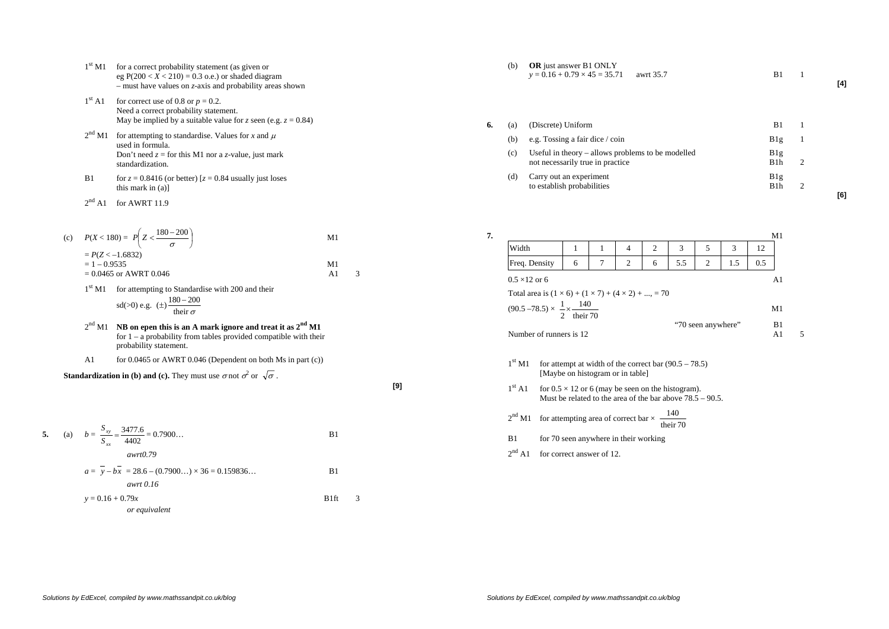- $1<sup>st</sup>$  M1 for a correct probability statement (as given or eg  $P(200 < X < 210) = 0.3$  o.e.) or shaded diagram – must have values on *z*-axis and probability areas shown
- $1<sup>st</sup>$  A1 for correct use of 0.8 or  $p = 0.2$ . Need a correct probability statement. May be implied by a suitable value for *z* seen (e.g.  $z = 0.84$ )
- $2<sup>nd</sup>$  M1 for attempting to standardise. Values for *x* and  $\mu$ used in formula. Don't need  $z =$  for this M1 nor a *z*-value, just mark standardization.
- B1 for  $z = 0.8416$  (or better)  $z = 0.84$  usually just loses this mark in (a)]

 $2<sup>nd</sup>$  A1 for AWRT 11.9

(c) 
$$
P(X < 180) = P\left(Z < \frac{180 - 200}{\sigma}\right)
$$
  
=  $P(Z < -1.6832)$   
= 1 - 0.9535  
= 0.0465 or AWRT 0.046  
A1 3

 $1<sup>st</sup>$  M1 for attempting to Standardise with 200 and their  $180 - 200$ 

sd(>0) e.g. 
$$
(\pm) \frac{180 - 200}{\text{their } \sigma}
$$

- <sup>2</sup>nd M1 **NB on epen this is an A mark ignore and treat it as 2nd M1**  for  $1 - a$  probability from tables provided compatible with their probability statement.
- A1 for 0.0465 or AWRT 0.046 (Dependent on both Ms in part (c))

**Standardization in (b) and (c).** They must use 
$$
\sigma
$$
 not  $\sigma^2$  or  $\sqrt{\sigma}$ .

**[9]** 

5. (a) 
$$
b = \frac{S_{xy}}{S_{xx}} = \frac{3477.6}{4402} = 0.7900...
$$
 B1  
\n
$$
awrt0.79
$$
\n
$$
a = \overline{y} - b\overline{x} = 28.6 - (0.7900...) \times 36 = 0.159836...
$$
 B1  
\n
$$
awrt 0.16
$$
\n
$$
y = 0.16 + 0.79x
$$
 B1ft 3  
\nor equivalent

(b) **OR** just answer B1 ONLY  $y = 0.16 + 0.79 \times 45 = 35.71$  awrt 35.7 B1 1

**[4]** 

**[6]** 

| 6. | (a) | (Discrete) Uniform                                                                    | B1                      |  |
|----|-----|---------------------------------------------------------------------------------------|-------------------------|--|
|    | (b) | e.g. Tossing a fair dice / coin                                                       | B1g                     |  |
|    | (c) | Useful in theory – allows problems to be modelled<br>not necessarily true in practice | B1g<br>B <sub>1</sub> h |  |
|    | (d) | Carry out an experiment<br>to establish probabilities                                 | B1g<br>B1h              |  |

**7.** M1  $M1$ Width 1 1 1 1 4 1 2 1 3 1 5 1 3 1 12 Freq. Density 6 7 2 6 5.5 2 1.5 0.5  $0.5 \times 12$  or 6  $A1$ Total area is  $(1 \times 6) + (1 \times 7) + (4 \times 2) + ... = 70$  $(90.5 - 78.5) \times \frac{1}{2} \times \frac{140}{\text{their } 70}$  M1 "70 seen anywhere" B1 Number of runners is 12 A1 5

- $1<sup>st</sup> M1$  for attempt at width of the correct bar (90.5 78.5) [Maybe on histogram or in table]
- $1<sup>st</sup>$  A1 for  $0.5 \times 12$  or 6 (may be seen on the histogram). Must be related to the area of the bar above  $78.5 - 90.5$ .
- $2<sup>nd</sup>$  M1 for attempting area of correct bar  $\times \frac{140}{\text{their }70}$
- B1 for 70 seen anywhere in their working
- 2<sup>nd</sup> A1 for correct answer of 12.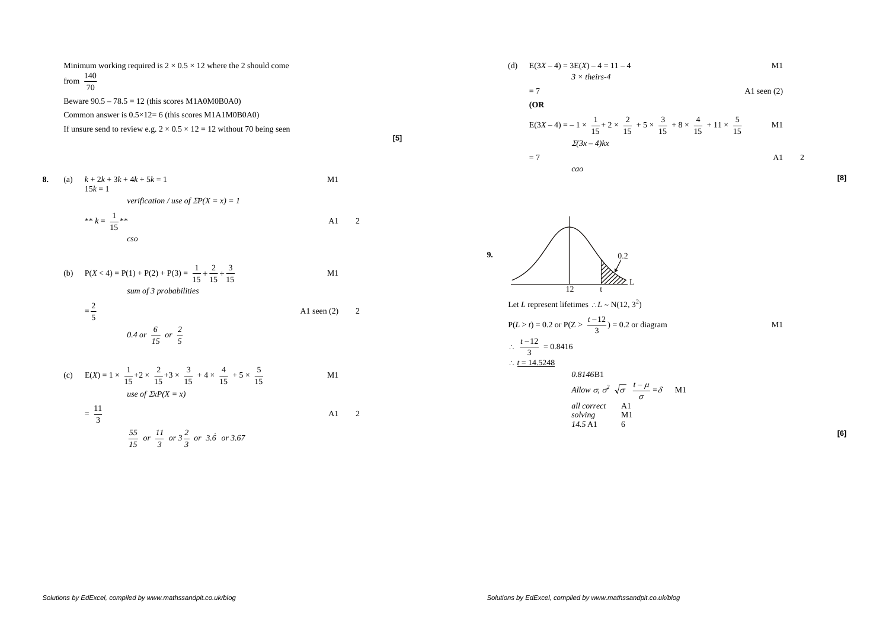Minimum working required is  $2 \times 0.5 \times 12$  where the 2 should come from  $\frac{1}{70}$ 140

Beware  $90.5 - 78.5 = 12$  (this scores M1A0M0B0A0)

Common answer is 0.5×12= 6 (this scores M1A1M0B0A0)

If unsure send to review e.g.  $2 \times 0.5 \times 12 = 12$  without 70 being seen

**8.** (a)  $k + 2k + 3k + 4k + 5k = 1$  M1  $15k = 1$ *verification / use of*  $\sum P(X = x) = 1$ \*\*  $k = \frac{1}{15}$ 1 $-*$  A1 2  $\overline{\phantom{a}}$ *cso* 

(b)  $P(X < 4) = P(1) + P(2) + P(3) = \frac{1}{15} + \frac{2}{15} + \frac{3}{15}$  M1 *sum of 3 probabilities* 

$$
= \frac{2}{5}
$$
 A1 seen (2) 2  
0.4 or  $\frac{6}{15}$  or  $\frac{2}{5}$ 

(c) 
$$
E(X) = 1 \times \frac{1}{15} + 2 \times \frac{2}{15} + 3 \times \frac{3}{15} + 4 \times \frac{4}{15} + 5 \times \frac{5}{15}
$$
 M1  
use of  $\Sigma xP(X = x)$ 

$$
= \frac{11}{3}
$$
 A1 2  

$$
\frac{55}{15} \text{ or } \frac{11}{3} \text{ or } 3\frac{2}{3} \text{ or } 3.\dot{6} \text{ or } 3.67
$$

**[5]** 

 $A1 \qquad 2$ 

(d) 
$$
E(3X-4) = 3E(X) - 4 = 11 - 4
$$
  
  $3 \times \text{theirs-4}$  M1

$$
=7
$$
 A1 seen (2)

$$
E(3X-4) = -1 \times \frac{1}{15} + 2 \times \frac{2}{15} + 5 \times \frac{3}{15} + 8 \times \frac{4}{15} + 11 \times \frac{5}{15}
$$
 M1  
= 7  
*2*(3x-4)kx  
= 7  
*2*

**9.** 12 t L0.2

Let *L* represent lifetimes  $\therefore L \sim N(12, 3^2)$ 

P(L > t) = 0.2 or P(Z > 
$$
\frac{t-12}{3}
$$
) = 0.2 or diagram  
∴  $\frac{t-12}{}$  = 0.8416

 $\frac{1}{3}$  $\therefore t = 14.5248$ 

**(OR** 

0.8146B1  
\n*Allow* 
$$
\sigma
$$
,  $\sigma^2 \sqrt{\sigma} \frac{t-\mu}{\sigma} = \delta$  M1  
\n*all correct* Al  
\n*solving* M1  
\n14.5 A1 6

<sup>2</sup>

**[8]**